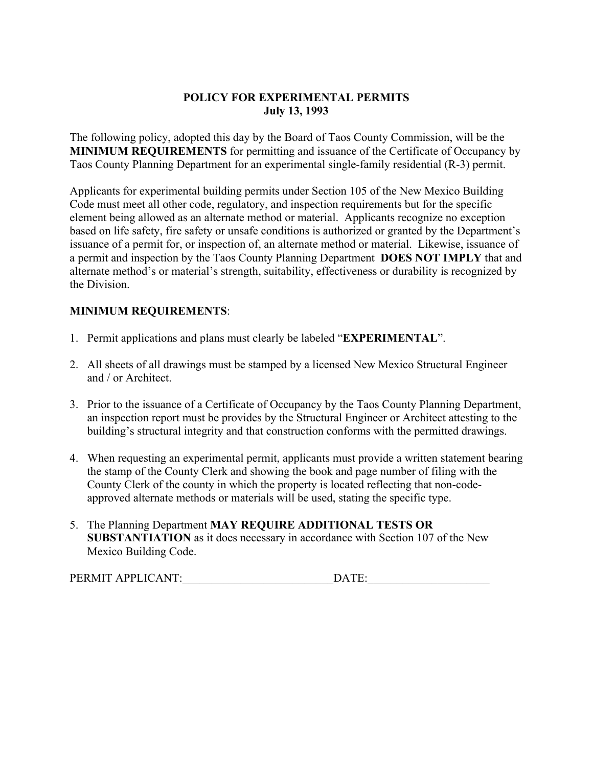## POLICY FOR EXPERIMENTAL PERMITS July 13, 1993

The following policy, adopted this day by the Board of Taos County Commission, will be the MINIMUM REQUIREMENTS for permitting and issuance of the Certificate of Occupancy by Taos County Planning Department for an experimental single-family residential (R-3) permit.

Applicants for experimental building permits under Section 105 of the New Mexico Building Code must meet all other code, regulatory, and inspection requirements but for the specific element being allowed as an alternate method or material. Applicants recognize no exception based on life safety, fire safety or unsafe conditions is authorized or granted by the Department's issuance of a permit for, or inspection of, an alternate method or material. Likewise, issuance of a permit and inspection by the Taos County Planning Department DOES NOT IMPLY that and alternate method's or material's strength, suitability, effectiveness or durability is recognized by the Division.

# MINIMUM REQUIREMENTS:

- 1. Permit applications and plans must clearly be labeled "EXPERIMENTAL".
- 2. All sheets of all drawings must be stamped by a licensed New Mexico Structural Engineer and / or Architect.
- 3. Prior to the issuance of a Certificate of Occupancy by the Taos County Planning Department, an inspection report must be provides by the Structural Engineer or Architect attesting to the building's structural integrity and that construction conforms with the permitted drawings.
- 4. When requesting an experimental permit, applicants must provide a written statement bearing the stamp of the County Clerk and showing the book and page number of filing with the County Clerk of the county in which the property is located reflecting that non-codeapproved alternate methods or materials will be used, stating the specific type.
- 5. The Planning Department MAY REQUIRE ADDITIONAL TESTS OR SUBSTANTIATION as it does necessary in accordance with Section 107 of the New Mexico Building Code.

| <b>PERMIT</b><br>APPLICANT: |  |
|-----------------------------|--|
|                             |  |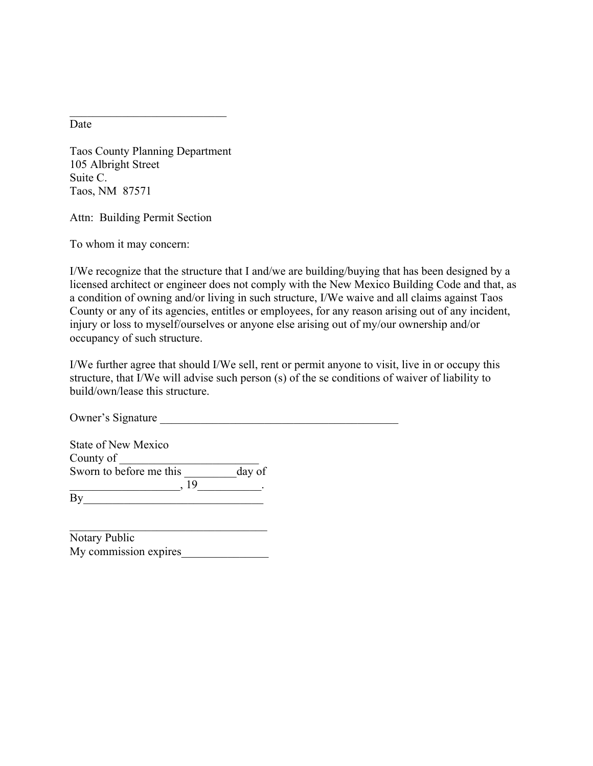Date

Taos County Planning Department 105 Albright Street Suite C. Taos, NM 87571

 $\mathcal{L}_\text{max}$  , where  $\mathcal{L}_\text{max}$  , we have the set of  $\mathcal{L}_\text{max}$ 

Attn: Building Permit Section

To whom it may concern:

I/We recognize that the structure that I and/we are building/buying that has been designed by a licensed architect or engineer does not comply with the New Mexico Building Code and that, as a condition of owning and/or living in such structure, I/We waive and all claims against Taos County or any of its agencies, entitles or employees, for any reason arising out of any incident, injury or loss to myself/ourselves or anyone else arising out of my/our ownership and/or occupancy of such structure.

I/We further agree that should I/We sell, rent or permit anyone to visit, live in or occupy this structure, that I/We will advise such person (s) of the se conditions of waiver of liability to build/own/lease this structure.

Owner's Signature

| <b>State of New Mexico</b> |        |
|----------------------------|--------|
| County of                  |        |
| Sworn to before me this    | day of |
| -19                        |        |
| By                         |        |

| Notary Public         |  |
|-----------------------|--|
| My commission expires |  |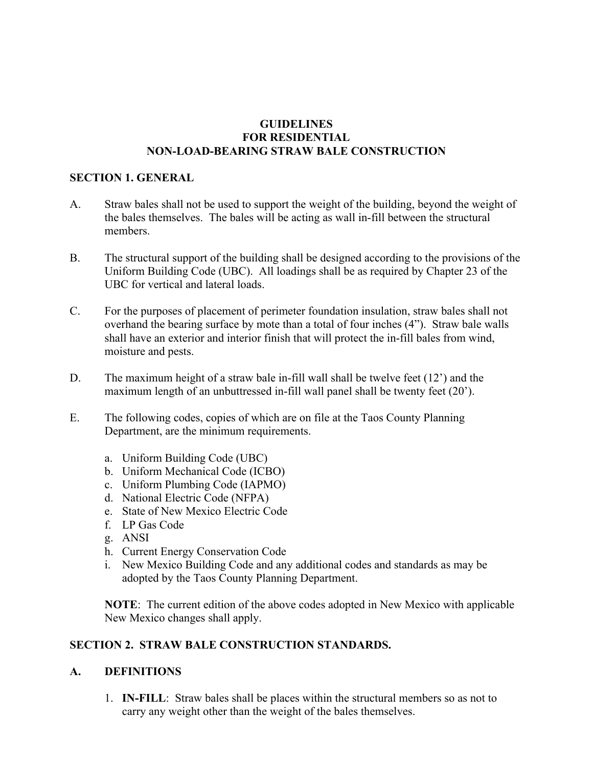### GUIDELINES FOR RESIDENTIAL NON-LOAD-BEARING STRAW BALE CONSTRUCTION

### SECTION 1. GENERAL

- A. Straw bales shall not be used to support the weight of the building, beyond the weight of the bales themselves. The bales will be acting as wall in-fill between the structural members.
- B. The structural support of the building shall be designed according to the provisions of the Uniform Building Code (UBC). All loadings shall be as required by Chapter 23 of the UBC for vertical and lateral loads.
- C. For the purposes of placement of perimeter foundation insulation, straw bales shall not overhand the bearing surface by mote than a total of four inches (4"). Straw bale walls shall have an exterior and interior finish that will protect the in-fill bales from wind, moisture and pests.
- D. The maximum height of a straw bale in-fill wall shall be twelve feet (12') and the maximum length of an unbuttressed in-fill wall panel shall be twenty feet (20').
- E. The following codes, copies of which are on file at the Taos County Planning Department, are the minimum requirements.
	- a. Uniform Building Code (UBC)
	- b. Uniform Mechanical Code (ICBO)
	- c. Uniform Plumbing Code (IAPMO)
	- d. National Electric Code (NFPA)
	- e. State of New Mexico Electric Code
	- f. LP Gas Code
	- g. ANSI
	- h. Current Energy Conservation Code
	- i. New Mexico Building Code and any additional codes and standards as may be adopted by the Taos County Planning Department.

NOTE: The current edition of the above codes adopted in New Mexico with applicable New Mexico changes shall apply.

## SECTION 2. STRAW BALE CONSTRUCTION STANDARDS.

## A. DEFINITIONS

1. IN-FILL: Straw bales shall be places within the structural members so as not to carry any weight other than the weight of the bales themselves.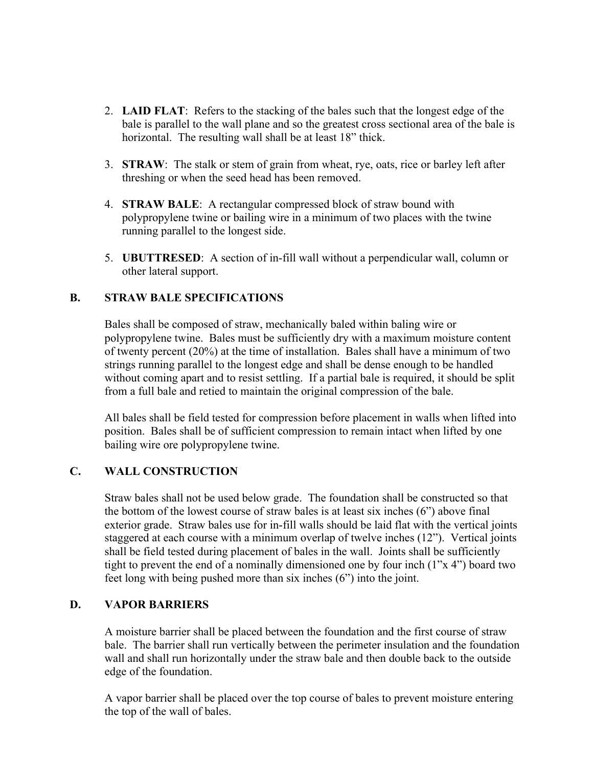- 2. LAID FLAT: Refers to the stacking of the bales such that the longest edge of the bale is parallel to the wall plane and so the greatest cross sectional area of the bale is horizontal. The resulting wall shall be at least 18" thick.
- 3. STRAW: The stalk or stem of grain from wheat, rye, oats, rice or barley left after threshing or when the seed head has been removed.
- 4. STRAW BALE: A rectangular compressed block of straw bound with polypropylene twine or bailing wire in a minimum of two places with the twine running parallel to the longest side.
- 5. UBUTTRESED: A section of in-fill wall without a perpendicular wall, column or other lateral support.

## B. STRAW BALE SPECIFICATIONS

Bales shall be composed of straw, mechanically baled within baling wire or polypropylene twine. Bales must be sufficiently dry with a maximum moisture content of twenty percent (20%) at the time of installation. Bales shall have a minimum of two strings running parallel to the longest edge and shall be dense enough to be handled without coming apart and to resist settling. If a partial bale is required, it should be split from a full bale and retied to maintain the original compression of the bale.

All bales shall be field tested for compression before placement in walls when lifted into position. Bales shall be of sufficient compression to remain intact when lifted by one bailing wire ore polypropylene twine.

#### C. WALL CONSTRUCTION

Straw bales shall not be used below grade. The foundation shall be constructed so that the bottom of the lowest course of straw bales is at least six inches (6") above final exterior grade. Straw bales use for in-fill walls should be laid flat with the vertical joints staggered at each course with a minimum overlap of twelve inches (12"). Vertical joints shall be field tested during placement of bales in the wall. Joints shall be sufficiently tight to prevent the end of a nominally dimensioned one by four inch (1"x 4") board two feet long with being pushed more than six inches (6") into the joint.

#### D. VAPOR BARRIERS

A moisture barrier shall be placed between the foundation and the first course of straw bale. The barrier shall run vertically between the perimeter insulation and the foundation wall and shall run horizontally under the straw bale and then double back to the outside edge of the foundation.

A vapor barrier shall be placed over the top course of bales to prevent moisture entering the top of the wall of bales.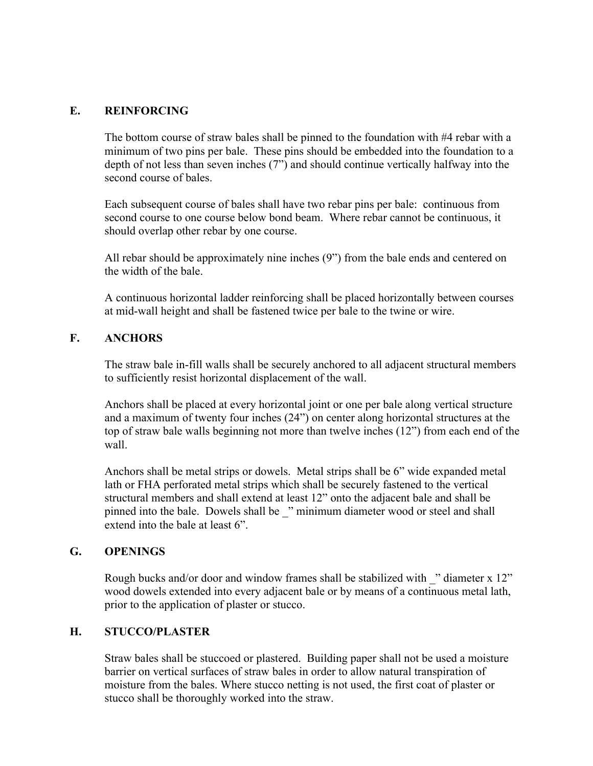## E. REINFORCING

The bottom course of straw bales shall be pinned to the foundation with #4 rebar with a minimum of two pins per bale. These pins should be embedded into the foundation to a depth of not less than seven inches (7") and should continue vertically halfway into the second course of bales

Each subsequent course of bales shall have two rebar pins per bale: continuous from second course to one course below bond beam. Where rebar cannot be continuous, it should overlap other rebar by one course.

All rebar should be approximately nine inches (9") from the bale ends and centered on the width of the bale.

A continuous horizontal ladder reinforcing shall be placed horizontally between courses at mid-wall height and shall be fastened twice per bale to the twine or wire.

## F. ANCHORS

The straw bale in-fill walls shall be securely anchored to all adjacent structural members to sufficiently resist horizontal displacement of the wall.

Anchors shall be placed at every horizontal joint or one per bale along vertical structure and a maximum of twenty four inches (24") on center along horizontal structures at the top of straw bale walls beginning not more than twelve inches (12") from each end of the wall.

Anchors shall be metal strips or dowels. Metal strips shall be 6" wide expanded metal lath or FHA perforated metal strips which shall be securely fastened to the vertical structural members and shall extend at least 12" onto the adjacent bale and shall be pinned into the bale. Dowels shall be " minimum diameter wood or steel and shall extend into the bale at least 6".

#### G. OPENINGS

Rough bucks and/or door and window frames shall be stabilized with " diameter x 12" wood dowels extended into every adjacent bale or by means of a continuous metal lath, prior to the application of plaster or stucco.

#### H. STUCCO/PLASTER

Straw bales shall be stuccoed or plastered. Building paper shall not be used a moisture barrier on vertical surfaces of straw bales in order to allow natural transpiration of moisture from the bales. Where stucco netting is not used, the first coat of plaster or stucco shall be thoroughly worked into the straw.